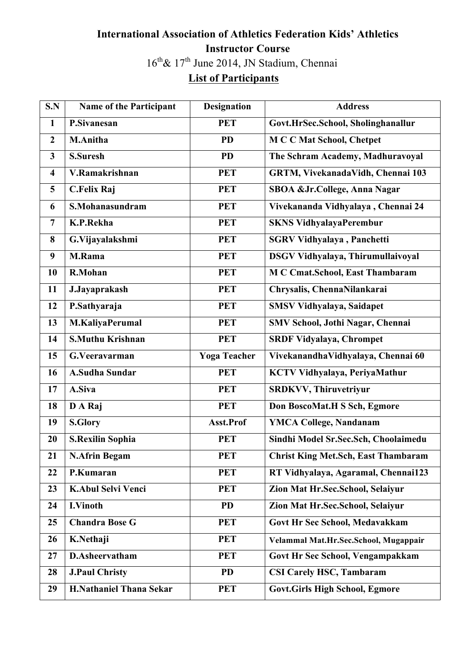## **International Association of Athletics Federation Kids' Athletics Instructor Course** th& 17th June 2014, JN Stadium, Chennai

## **List of Participants**

| S.N                     | <b>Name of the Participant</b> | <b>Designation</b>  | <b>Address</b>                             |
|-------------------------|--------------------------------|---------------------|--------------------------------------------|
| $\mathbf{1}$            | <b>P.Sivanesan</b>             | <b>PET</b>          | Govt.HrSec.School, Sholinghanallur         |
| $\overline{2}$          | <b>M.Anitha</b>                | <b>PD</b>           | <b>MCC Mat School, Chetpet</b>             |
| $\mathbf{3}$            | <b>S.Suresh</b>                | <b>PD</b>           | The Schram Academy, Madhuravoyal           |
| $\overline{\mathbf{4}}$ | V.Ramakrishnan                 | <b>PET</b>          | GRTM, VivekanadaVidh, Chennai 103          |
| 5                       | <b>C.Felix Raj</b>             | <b>PET</b>          | SBOA & Jr. College, Anna Nagar             |
| 6                       | S.Mohanasundram                | <b>PET</b>          | Vivekananda Vidhyalaya, Chennai 24         |
| $\overline{7}$          | K.P.Rekha                      | <b>PET</b>          | <b>SKNS VidhyalayaPerembur</b>             |
| 8                       | G.Vijayalakshmi                | <b>PET</b>          | <b>SGRV Vidhyalaya</b> , Panchetti         |
| 9                       | M.Rama                         | <b>PET</b>          | DSGV Vidhyalaya, Thirumullaivoyal          |
| 10                      | R.Mohan                        | <b>PET</b>          | M C Cmat.School, East Thambaram            |
| 11                      | J.Jayaprakash                  | <b>PET</b>          | Chrysalis, ChennaNilankarai                |
| 12                      | P.Sathyaraja                   | <b>PET</b>          | <b>SMSV Vidhyalaya, Saidapet</b>           |
| 13                      | M.KaliyaPerumal                | <b>PET</b>          | SMV School, Jothi Nagar, Chennai           |
| 14                      | <b>S.Muthu Krishnan</b>        | <b>PET</b>          | <b>SRDF Vidyalaya, Chrompet</b>            |
|                         |                                |                     |                                            |
| 15                      | G.Veeravarman                  | <b>Yoga Teacher</b> | VivekanandhaVidhyalaya, Chennai 60         |
| 16                      | <b>A.Sudha Sundar</b>          | <b>PET</b>          | KCTV Vidhyalaya, PeriyaMathur              |
| 17                      | A.Siva                         | <b>PET</b>          | <b>SRDKVV, Thiruvetriyur</b>               |
| 18                      | D A Raj                        | <b>PET</b>          | Don BoscoMat.H S Sch, Egmore               |
| 19                      | <b>S.Glory</b>                 | Asst.Prof           | <b>YMCA College, Nandanam</b>              |
| 20                      | <b>S.Rexilin Sophia</b>        | <b>PET</b>          | Sindhi Model Sr.Sec.Sch, Choolaimedu       |
| 21                      | <b>N.Afrin Begam</b>           | <b>PET</b>          | <b>Christ King Met.Sch, East Thambaram</b> |
| 22                      | P.Kumaran                      | <b>PET</b>          | RT Vidhyalaya, Agaramal, Chennai123        |
| 23                      | <b>K.Abul Selvi Venci</b>      | <b>PET</b>          | Zion Mat Hr.Sec.School, Selaiyur           |
| 24                      | <b>I.Vinoth</b>                | <b>PD</b>           | Zion Mat Hr.Sec.School, Selaiyur           |
| 25                      | <b>Chandra Bose G</b>          | <b>PET</b>          | Govt Hr Sec School, Medavakkam             |
| 26                      | K.Nethaji                      | <b>PET</b>          | Velammal Mat.Hr.Sec.School, Mugappair      |
| 27                      | D.Asheervatham                 | <b>PET</b>          | Govt Hr Sec School, Vengampakkam           |
| 28                      | <b>J.Paul Christy</b>          | <b>PD</b>           | <b>CSI Carely HSC, Tambaram</b>            |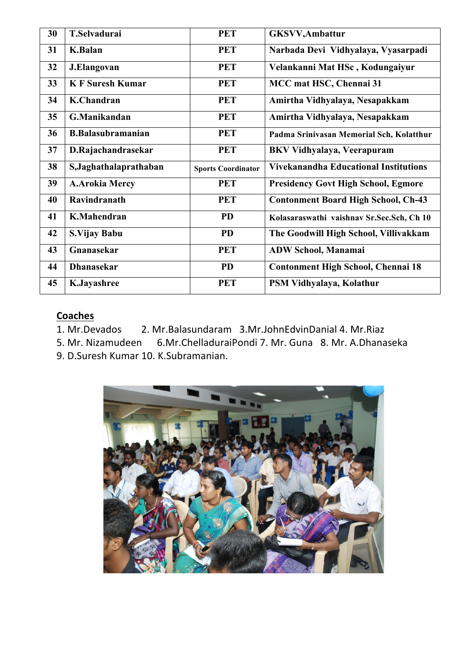| 30 | <b>T.Selvadurai</b>      | <b>PET</b>                | <b>GKSVV, Ambattur</b>                       |
|----|--------------------------|---------------------------|----------------------------------------------|
| 31 | <b>K.Balan</b>           | <b>PET</b>                | Narbada Devi Vidhyalaya, Vyasarpadi          |
| 32 | J.Elangovan              | <b>PET</b>                | Velankanni Mat HSc, Kodungaiyur              |
| 33 | <b>KF</b> Suresh Kumar   | <b>PET</b>                | MCC mat HSC, Chennai 31                      |
| 34 | K.Chandran               | <b>PET</b>                | Amirtha Vidhyalaya, Nesapakkam               |
| 35 | G.Manikandan             | <b>PET</b>                | Amirtha Vidhyalaya, Nesapakkam               |
| 36 | <b>B.Balasubramanian</b> | <b>PET</b>                | Padma Srinivasan Memorial Sch, Kolatthur     |
| 37 | D.Rajachandrasekar       | <b>PET</b>                | <b>BKV Vidhyalaya, Veerapuram</b>            |
|    |                          |                           |                                              |
| 38 | S, Jaghathalaprathaban   | <b>Sports Coordinator</b> | <b>Vivekanandha Educational Institutions</b> |
| 39 | <b>A.Arokia Mercy</b>    | <b>PET</b>                | <b>Presidency Govt High School, Egmore</b>   |
| 40 | Ravindranath             | <b>PET</b>                | <b>Contonment Board High School, Ch-43</b>   |
| 41 | <b>K.Mahendran</b>       | <b>PD</b>                 | Kolasaraswathi vaishnav Sr.Sec.Sch, Ch 10    |
| 42 | S.Vijay Babu             | <b>PD</b>                 | The Goodwill High School, Villivakkam        |
| 43 | Gnanasekar               | <b>PET</b>                | <b>ADW School, Manamai</b>                   |
| 44 | <b>Dhanasekar</b>        | <b>PD</b>                 | <b>Contonment High School, Chennai 18</b>    |

### **Coaches**

1. Mr.Devados 2. Mr.Balasundaram 3.Mr.JohnEdvinDanial 4. Mr.Riaz

5. Mr. Nizamudeen 6.Mr.ChelladuraiPondi 7. Mr. Guna 8. Mr. A.Dhanaseka

9. D.Suresh Kumar 10. K.Subramanian.

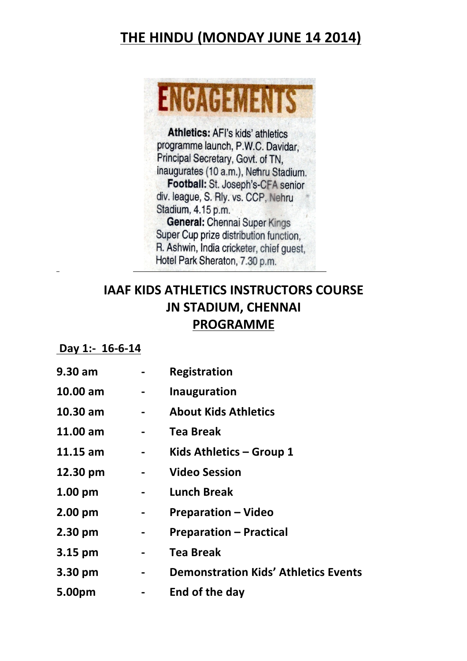# **THE HINDU (MONDAY JUNE 14 2014)**



Athletics: AFI's kids' athletics programme launch, P.W.C. Davidar. Principal Secretary, Govt. of TN, inaugurates (10 a.m.), Nehru Stadium. Football: St. Joseph's-CFA senior div. league, S. Rly. vs. CCP, Nehru Stadium, 4.15 p.m. General: Chennai Super Kings Super Cup prize distribution function. R. Ashwin, India cricketer, chief guest, Hotel Park Sheraton, 7.30 p.m.

## **IAAF KIDS ATHLETICS INSTRUCTORS COURSE JN STADIUM, CHENNAI PROGRAMME**

#### Day 1:- 16-6-14

| 9.30 am           |                | Registration                                |  |
|-------------------|----------------|---------------------------------------------|--|
| 10.00 am          | $\sim$ $-$     | Inauguration                                |  |
| 10.30 am          | $\sim$         | <b>About Kids Athletics</b>                 |  |
| 11.00 am          |                | <b>Tea Break</b>                            |  |
| 11.15 am          | $\blacksquare$ | Kids Athletics - Group 1                    |  |
| 12.30 pm          | $\blacksquare$ | <b>Video Session</b>                        |  |
| $1.00 \text{ pm}$ |                | <b>Lunch Break</b>                          |  |
| 2.00 pm           | $\blacksquare$ | <b>Preparation – Video</b>                  |  |
| 2.30 pm           | $\blacksquare$ | <b>Preparation - Practical</b>              |  |
| 3.15 pm           |                | <b>Tea Break</b>                            |  |
| 3.30 pm           |                | <b>Demonstration Kids' Athletics Events</b> |  |
| 5.00pm            | $\blacksquare$ | End of the day                              |  |